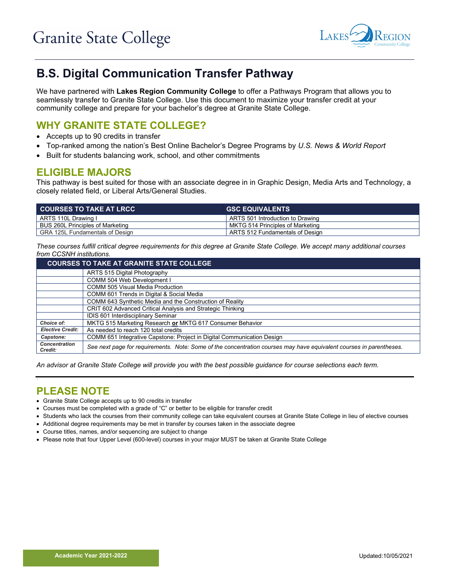

# **B.S. Digital Communication Transfer Pathway**

We have partnered with **Lakes Region Community College** to offer a Pathways Program that allows you to seamlessly transfer to Granite State College. Use this document to maximize your transfer credit at your community college and prepare for your bachelor's degree at Granite State College.

# **WHY GRANITE STATE COLLEGE?**

- Accepts up to 90 credits in transfer
- Top-ranked among the nation's Best Online Bachelor's Degree Programs by *U.S. News & World Report*
- Built for students balancing work, school, and other commitments

### **ELIGIBLE MAJORS**

This pathway is best suited for those with an associate degree in in Graphic Design, Media Arts and Technology, a closely related field, or Liberal Arts/General Studies.

| <b>COURSES TO TAKE AT LRCC B</b> | <b>GSC EQUIVALENTS</b>           |
|----------------------------------|----------------------------------|
| ARTS 110L Drawing I              | ARTS 501 Introduction to Drawing |
| BUS 260L Principles of Marketing | MKTG 514 Principles of Marketing |
| GRA 125L Fundamentals of Design  | ARTS 512 Fundamentals of Design  |

*These courses fulfill critical degree requirements for this degree at Granite State College. We accept many additional courses from CCSNH institutions.*

| <b>COURSES TO TAKE AT GRANITE STATE COLLEGE</b> |                                                                                                                     |  |  |
|-------------------------------------------------|---------------------------------------------------------------------------------------------------------------------|--|--|
|                                                 | ARTS 515 Digital Photography                                                                                        |  |  |
|                                                 | COMM 504 Web Development I                                                                                          |  |  |
|                                                 | COMM 505 Visual Media Production                                                                                    |  |  |
|                                                 | COMM 601 Trends in Digital & Social Media                                                                           |  |  |
|                                                 | COMM 643 Synthetic Media and the Construction of Reality                                                            |  |  |
|                                                 | CRIT 602 Advanced Critical Analysis and Strategic Thinking                                                          |  |  |
|                                                 | IDIS 601 Interdisciplinary Seminar                                                                                  |  |  |
| Choice of:                                      | MKTG 515 Marketing Research or MKTG 617 Consumer Behavior                                                           |  |  |
| <b>Elective Credit:</b>                         | As needed to reach 120 total credits                                                                                |  |  |
| Capstone:                                       | COMM 651 Integrative Capstone: Project in Digital Communication Design                                              |  |  |
| <b>Concentration</b><br>Credit:                 | See next page for requirements. Note: Some of the concentration courses may have equivalent courses in parentheses. |  |  |

*An advisor at Granite State College will provide you with the best possible guidance for course selections each term.*

#### **` PLEASE NOTE**

- Granite State College accepts up to 90 credits in transfer
- Courses must be completed with a grade of "C" or better to be eligible for transfer credit
- Students who lack the courses from their community college can take equivalent courses at Granite State College in lieu of elective courses
- Additional degree requirements may be met in transfer by courses taken in the associate degree
- Course titles, names, and/or sequencing are subject to change
- Please note that four Upper Level (600-level) courses in your major MUST be taken at Granite State College